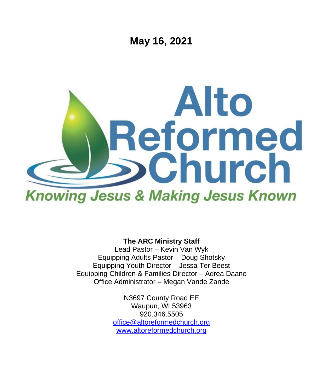

**The ARC Ministry Staff**

Lead Pastor – Kevin Van Wyk Equipping Adults Pastor – Doug Shotsky Equipping Youth Director – Jessa Ter Beest Equipping Children & Families Director – Adrea Daane Office Administrator – Megan Vande Zande

> N3697 County Road EE Waupun, WI 53963 920.346.5505 [office@altoreformedchurch.org](mailto:office@altoreformedchurch.org) [www.altoreformedchurch.org](http://www.altoreformedchurch.org/)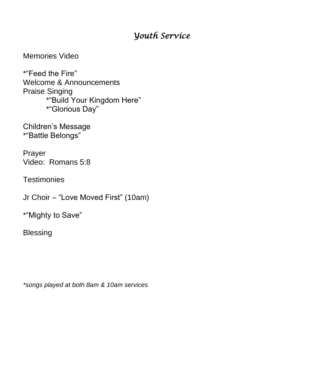## *Youth Service*

Memories Video

\*"Feed the Fire" Welcome & Announcements Praise Singing \*"Build Your Kingdom Here" \*"Glorious Day"

Children's Message \*"Battle Belongs"

Prayer Video: Romans 5:8

**Testimonies** 

Jr Choir – "Love Moved First" (10am)

\*"Mighty to Save"

Blessing

*\*songs played at both 8am & 10am services*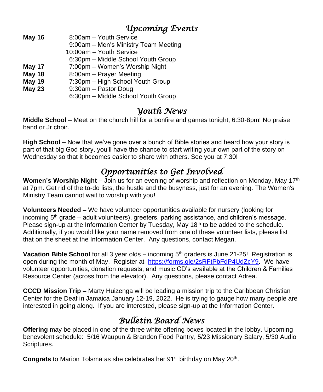## *Upcoming Events*

**May 16** 8:00am – Youth Service

9:00am – Men's Ministry Team Meeting

10:00am – Youth Service

- 6:30pm Middle School Youth Group
- **May 17** 7:00pm Women's Worship Night
- **May 18** 8:00am Prayer Meeting
- **May 19** 7:30pm High School Youth Group
- **May 23** 9:30am Pastor Doug
	- 6:30pm Middle School Youth Group

## *Youth News*

**Middle School** – Meet on the church hill for a bonfire and games tonight, 6:30-8pm! No praise band or Jr choir.

**High School** – Now that we've gone over a bunch of Bible stories and heard how your story is part of that big God story, you'll have the chance to start writing your own part of the story on Wednesday so that it becomes easier to share with others. See you at 7:30!

# *Opportunities to Get Involved*

**Women's Worship Night** – Join us for an evening of worship and reflection on Monday, May 17<sup>th</sup> at 7pm. Get rid of the to-do lists, the hustle and the busyness, just for an evening. The Women's Ministry Team cannot wait to worship with you!

**Volunteers Needed –** We have volunteer opportunities available for nursery (looking for incoming  $5<sup>th</sup>$  grade – adult volunteers), greeters, parking assistance, and children's message. Please sign-up at the Information Center by Tuesday, May 18<sup>th</sup> to be added to the schedule. Additionally, if you would like your name removed from one of these volunteer lists, please list that on the sheet at the Information Center. Any questions, contact Megan.

**Vacation Bible School** for all 3 year olds – incoming 5<sup>th</sup> graders is June 21-25! Registration is open during the month of May. Register at [https://forms.gle/2sRFtPbFdP4UdZcY9.](https://na01.safelinks.protection.outlook.com/?url=http%3A%2F%2Flinks.breezechms.com%2Fls%2Fclick%3Fupn%3DtQDFDhR0nEOlNZKVZKv2dEg3OvQj0a-2B5JGz-2BxseoSu7E1vrB4h1oWm780fyouqtOIDPhuqgk6gtRbvbfrsRnhz9n1Yzr7nEKxVFkFpFKMxkoh59vDzmQ9InMUqi7hhmFaC5z1PN2AvrM3unEMEa02RX9nneHZEL9IAMDaT3bOa4-3DgWdR_U8-2FzRMA8pwK6BcKXi4HrKpKb3fHOB0elU-2BAvqxm-2FKiS6MX4G8HavMkPn-2FWG1iyelCyfb4on5Jd4Cr5hOkCAL7JAbucdGJcE7uY5pIc9fpB9oSKqPBdARmBvkWDI1i4I-2FHjYF8zSDS6BnT1ywYfruA8S6l8so-2FCOZgyybP8atCvbcntEMCWksHN5VdNMvUNFCSZHAmE7gRQdbzR8OTz4wHTAQm01cysl6nhd8jovXqP9ZhJwuCow3pgwZuTDJg6awLTL6DMoT0RXDC3H51cr5Z4qrOsl2eOeKwRc8H3Mx4Oo-3D&data=04%7C01%7C%7C5398d0f64eef47d46c6d08d90be2bcf2%7C84df9e7fe9f640afb435aaaaaaaaaaaa%7C1%7C0%7C637553890719092207%7CUnknown%7CTWFpbGZsb3d8eyJWIjoiMC4wLjAwMDAiLCJQIjoiV2luMzIiLCJBTiI6Ik1haWwiLCJXVCI6Mn0%3D%7C1000&sdata=p7YtKll%2FzvrteEcGfyTP2RV2ZgH4PFt4ipVlpPevG0g%3D&reserved=0) We have volunteer opportunities, donation requests, and music CD's available at the Children & Families Resource Center (across from the elevator). Any questions, please contact Adrea.

**CCCD Mission Trip –** Marty Huizenga will be leading a mission trip to the Caribbean Christian Center for the Deaf in Jamaica January 12-19, 2022. He is trying to gauge how many people are interested in going along. If you are interested, please sign-up at the Information Center.

## *Bulletin Board News*

**Offering** may be placed in one of the three white offering boxes located in the lobby. Upcoming benevolent schedule: 5/16 Waupun & Brandon Food Pantry, 5/23 Missionary Salary, 5/30 Audio Scriptures.

Congrats to Marion Tolsma as she celebrates her 91<sup>st</sup> birthday on May 20<sup>th</sup>.